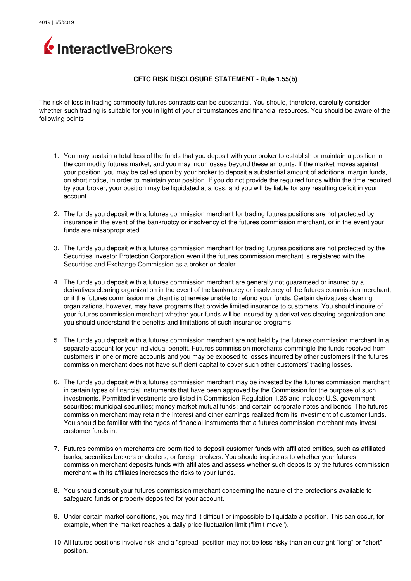

## **CFTC RISK DISCLOSURE STATEMENT Rule 1.55(b)**

The risk of loss in trading commodity futures contracts can be substantial. You should, therefore, carefully consider whether such trading is suitable for you in light of your circumstances and financial resources. You should be aware of the following points:

- 1. You may sustain a total loss of the funds that you deposit with your broker to establish or maintain a position in the commodity futures market, and you may incur losses beyond these amounts. If the market moves against your position, you may be called upon by your broker to deposit a substantial amount of additional margin funds, on short notice, in order to maintain your position. If you do not provide the required funds within the time required by your broker, your position may be liquidated at a loss, and you will be liable for any resulting deficit in your account.
- 2. The funds you deposit with a futures commission merchant for trading futures positions are not protected by insurance in the event of the bankruptcy or insolvency of the futures commission merchant, or in the event your funds are misappropriated.
- 3. The funds you deposit with a futures commission merchant for trading futures positions are not protected by the Securities Investor Protection Corporation even if the futures commission merchant is registered with the Securities and Exchange Commission as a broker or dealer.
- 4. The funds you deposit with a futures commission merchant are generally not guaranteed or insured by a derivatives clearing organization in the event of the bankruptcy or insolvency of the futures commission merchant, or if the futures commission merchant is otherwise unable to refund your funds. Certain derivatives clearing organizations, however, may have programs that provide limited insurance to customers. You should inquire of your futures commission merchant whether your funds will be insured by a derivatives clearing organization and you should understand the benefits and limitations of such insurance programs.
- 5. The funds you deposit with a futures commission merchant are not held by the futures commission merchant in a separate account for your individual benefit. Futures commission merchants commingle the funds received from customers in one or more accounts and you may be exposed to losses incurred by other customers if the futures commission merchant does not have sufficient capital to cover such other customers' trading losses.
- 6. The funds you deposit with a futures commission merchant may be invested by the futures commission merchant in certain types of financial instruments that have been approved by the Commission for the purpose of such investments. Permitted investments are listed in Commission Regulation 1.25 and include: U.S. government securities; municipal securities; money market mutual funds; and certain corporate notes and bonds. The futures commission merchant may retain the interest and other earnings realized from its investment of customer funds. You should be familiar with the types of financial instruments that a futures commission merchant may invest customer funds in.
- 7. Futures commission merchants are permitted to deposit customer funds with affiliated entities, such as affiliated banks, securities brokers or dealers, or foreign brokers. You should inquire as to whether your futures commission merchant deposits funds with affiliates and assess whether such deposits by the futures commission merchant with its affiliates increases the risks to your funds.
- 8. You should consult your futures commission merchant concerning the nature of the protections available to safeguard funds or property deposited for your account.
- 9. Under certain market conditions, you may find it difficult or impossible to liquidate a position. This can occur, for example, when the market reaches a daily price fluctuation limit ("limit move").
- 10.All futures positions involve risk, and a "spread" position may not be less risky than an outright "long" or "short" position.